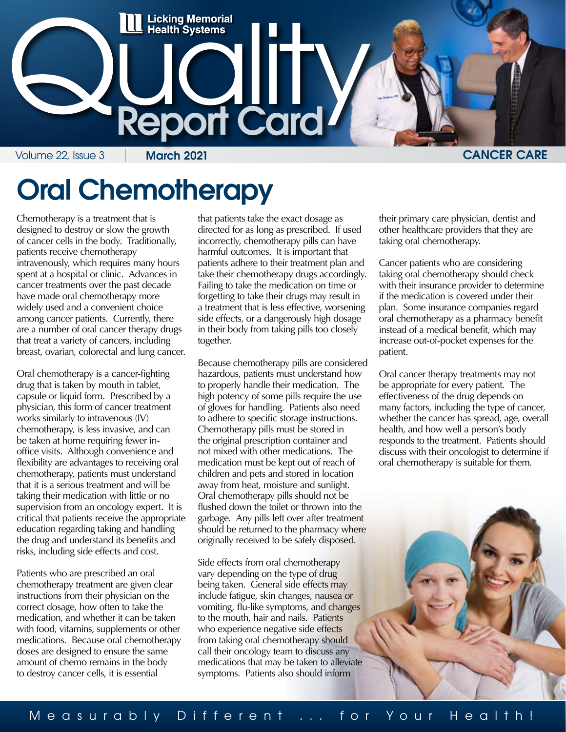

# Oral Chemotherapy

Chemotherapy is a treatment that is designed to destroy or slow the growth of cancer cells in the body. Traditionally, patients receive chemotherapy intravenously, which requires many hours spent at a hospital or clinic. Advances in cancer treatments over the past decade have made oral chemotherapy more widely used and a convenient choice among cancer patients. Currently, there are a number of oral cancer therapy drugs that treat a variety of cancers, including breast, ovarian, colorectal and lung cancer.

Oral chemotherapy is a cancer-fighting drug that is taken by mouth in tablet, capsule or liquid form. Prescribed by a physician, this form of cancer treatment works similarly to intravenous (IV) chemotherapy, is less invasive, and can be taken at home requiring fewer inoffice visits. Although convenience and flexibility are advantages to receiving oral chemotherapy, patients must understand that it is a serious treatment and will be taking their medication with little or no supervision from an oncology expert. It is critical that patients receive the appropriate education regarding taking and handling the drug and understand its benefits and risks, including side effects and cost.

Patients who are prescribed an oral chemotherapy treatment are given clear instructions from their physician on the correct dosage, how often to take the medication, and whether it can be taken with food, vitamins, supplements or other medications. Because oral chemotherapy doses are designed to ensure the same amount of chemo remains in the body to destroy cancer cells, it is essential

that patients take the exact dosage as directed for as long as prescribed. If used incorrectly, chemotherapy pills can have harmful outcomes. It is important that patients adhere to their treatment plan and take their chemotherapy drugs accordingly. Failing to take the medication on time or forgetting to take their drugs may result in a treatment that is less effective, worsening side effects, or a dangerously high dosage in their body from taking pills too closely together.

Because chemotherapy pills are considered hazardous, patients must understand how to properly handle their medication. The high potency of some pills require the use of gloves for handling. Patients also need to adhere to specific storage instructions. Chemotherapy pills must be stored in the original prescription container and not mixed with other medications. The medication must be kept out of reach of children and pets and stored in location away from heat, moisture and sunlight. Oral chemotherapy pills should not be flushed down the toilet or thrown into the garbage. Any pills left over after treatment should be returned to the pharmacy where originally received to be safely disposed.

Side effects from oral chemotherapy vary depending on the type of drug being taken. General side effects may include fatigue, skin changes, nausea or vomiting, flu-like symptoms, and changes to the mouth, hair and nails. Patients who experience negative side effects from taking oral chemotherapy should call their oncology team to discuss any medications that may be taken to alleviate symptoms. Patients also should inform

their primary care physician, dentist and other healthcare providers that they are taking oral chemotherapy.

Cancer patients who are considering taking oral chemotherapy should check with their insurance provider to determine if the medication is covered under their plan. Some insurance companies regard oral chemotherapy as a pharmacy benefit instead of a medical benefit, which may increase out-of-pocket expenses for the patient.

Oral cancer therapy treatments may not be appropriate for every patient. The effectiveness of the drug depends on many factors, including the type of cancer, whether the cancer has spread, age, overall health, and how well a person's body responds to the treatment. Patients should discuss with their oncologist to determine if oral chemotherapy is suitable for them.

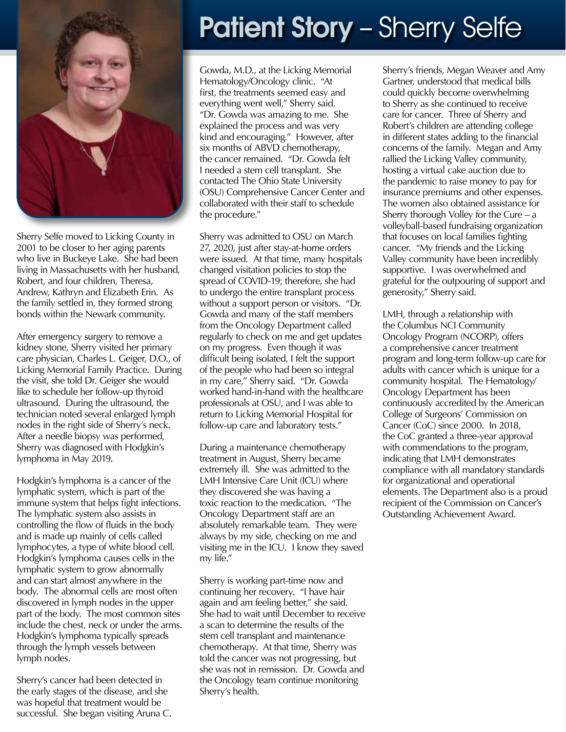

Sherry Selfe moved to Licking County in 2001 to be closer to her aging parents who live in Buckeye Lake. She had been living in Massachusetts with her husband, Robert, and four children, Theresa, Andrew, Kathryn and Elizabeth Erin. As the family settled in, they formed strong bonds within the Newark community.

After emergency surgery to remove a kidney stone, Sherry visited her primary care physician, Charles L. Geiger, D.O., of Licking Memorial Family Practice. During the visit, she told Dr. Geiger she would like to schedule her follow-up thyroid ultrasound. During the ultrasound, the technician noted several enlarged lymph nodes in the right side of Sherry's neck. After a needle biopsy was performed, Sherry was diagnosed with Hodgkin's lymphoma in May 2019.

Hodgkin's lymphoma is a cancer of the lymphatic system, which is part of the immune system that helps fight infections. The lymphatic system also assists in controlling the flow of fluids in the body and is made up mainly of cells called lymphocytes, a type of white blood cell. Hodgkin's lymphoma causes cells in the lymphatic system to grow abnormally and can start almost anywhere in the body. The abnormal cells are most often discovered in lymph nodes in the upper part of the body. The most common sites include the chest, neck or under the arms. Hodgkin's lymphoma typically spreads through the lymph vessels between lymph nodes.

Sherry's cancer had been detected in the early stages of the disease, and she was hopeful that treatment would be successful. She began visiting Aruna C.

## Patient Story - Sherry Selfe Patient Story - Sherry Selfe

Gowda, M.D., at the Licking Memorial Hematology/Oncology clinic. "At first, the treatments seemed easy and everything went well," Sherry said. "Dr. Gowda was amazing to me. She explained the process and was very kind and encouraging." However, after six months of ABVD chemotherapy, the cancer remained. "Dr. Gowda felt I needed a stem cell transplant. She contacted The Ohio State University (OSU) Comprehensive Cancer Center and collaborated with their staff to schedule the procedure."

Sherry was admitted to OSU on March 27, 2020, just after stay-at-home orders were issued. At that time, many hospitals changed visitation policies to stop the spread of COVID-19; therefore, she had to undergo the entire transplant process without a support person or visitors. "Dr. Gowda and many of the staff members from the Oncology Department called regularly to check on me and get updates on my progress. Even though it was difficult being isolated, I felt the support of the people who had been so integral in my care," Sherry said. "Dr. Gowda worked hand-in-hand with the healthcare professionals at OSU, and I was able to return to Licking Memorial Hospital for follow-up care and laboratory tests."

During a maintenance chemotherapy treatment in August, Sherry became extremely ill. She was admitted to the LMH Intensive Care Unit (ICU) where they discovered she was having a toxic reaction to the medication. "The Oncology Department staff are an absolutely remarkable team. They were always by my side, checking on me and visiting me in the ICU. I know they saved my life."

Sherry is working part-time now and continuing her recovery. "I have hair again and am feeling better," she said. She had to wait until December to receive a scan to determine the results of the stem cell transplant and maintenance chemotherapy. At that time, Sherry was told the cancer was not progressing, but she was not in remission. Dr. Gowda and the Oncology team continue monitoring Sherry's health.

Sherry's friends, Megan Weaver and Amy Gartner, understood that medical bills could quickly become overwhelming to Sherry as she continued to receive care for cancer. Three of Sherry and Robert's children are attending college in different states adding to the financial concerns of the family. Megan and Amy rallied the Licking Valley community, hosting a virtual cake auction due to the pandemic to raise money to pay for insurance premiums and other expenses. The women also obtained assistance for Sherry thorough Volley for the Cure – a volleyball-based fundraising organization that focuses on local families fighting cancer. "My friends and the Licking Valley community have been incredibly supportive. I was overwhelmed and grateful for the outpouring of support and generosity," Sherry said.

LMH, through a relationship with the Columbus NCI Community Oncology Program (NCORP), offers a comprehensive cancer treatment program and long-term follow-up care for adults with cancer which is unique for a community hospital. The Hematology/ Oncology Department has been continuously accredited by the American College of Surgeons' Commission on Cancer (CoC) since 2000. In 2018, the CoC granted a three-year approval with commendations to the program, indicating that LMH demonstrates compliance with all mandatory standards for organizational and operational elements. The Department also is a proud recipient of the Commission on Cancer's Outstanding Achievement Award.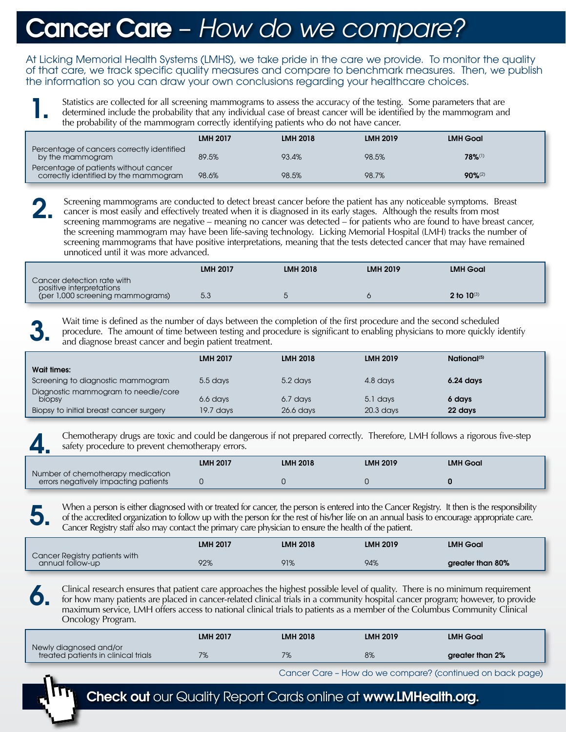## Cancer Care – *How do we compare?*

At Licking Memorial Health Systems (LMHS), we take pride in the care we provide. To monitor the quality of that care, we track specific quality measures and compare to benchmark measures. Then, we publish the information so you can draw your own conclusions regarding your healthcare choices.

Statistics are collected for all screening mammograms to assess the accuracy of the testing. Some parameters that are determined include the probability that any individual case of breast cancer will be identified by the mammogram and the probability of the mammogram correctly identifying patients who do not have cancer. 1.

|                                                                                | <b>LMH 2017</b> | <b>LMH 2018</b> | <b>LMH 2019</b> | <b>LMH Goal</b> |
|--------------------------------------------------------------------------------|-----------------|-----------------|-----------------|-----------------|
| Percentage of cancers correctly identified<br>by the mammogram                 | 89.5%           | 93.4%           | 98.5%           | 78%(1)          |
| Percentage of patients without cancer<br>correctly identified by the mammogram | 98.6%           | 98.5%           | 98.7%           | 90%(2)          |

2. Screening mammograms are conducted to detect breast cancer before the patient has any noticeable symptoms. Breast cancer is most easily and effectively treated when it is diagnosed in its early stages. Although the results from most screening mammograms are negative – meaning no cancer was detected – for patients who are found to have breast cancer, the screening mammogram may have been life-saving technology. Licking Memorial Hospital (LMH) tracks the number of screening mammograms that have positive interpretations, meaning that the tests detected cancer that may have remained unnoticed until it was more advanced.

|                                                        | <b>LMH 2017</b> | <b>LMH 2018</b> | <b>LMH 2019</b> | <b>LMH Goal</b> |
|--------------------------------------------------------|-----------------|-----------------|-----------------|-----------------|
| Cancer detection rate with<br>positive interpretations |                 |                 |                 |                 |
| (per 1,000 screening mammograms)                       | 5.3             |                 |                 | 2 to $10^{(3)}$ |

3. Wait time is defined as the number of days between the completion of the first procedure and the second scheduled procedure. The amount of time between testing and procedure is significant to enabling physicians to more quickly identify and diagnose breast cancer and begin patient treatment.

|                                         | <b>LMH 2017</b> | <b>LMH 2018</b> | <b>LMH 2019</b> | National <sup>(5)</sup> |
|-----------------------------------------|-----------------|-----------------|-----------------|-------------------------|
| Wait times:                             |                 |                 |                 |                         |
| Screening to diagnostic mammogram       | $5.5$ days      | 5.2 days        | 4.8 days        | $6.24$ days             |
| Diagnostic mammogram to needle/core     |                 |                 |                 |                         |
| biopsy                                  | 6.6 days        | 6.7 days        | 5.1 days        | 6 days                  |
| Biopsy to initial breast cancer surgery | $19.7$ days     | $26.6$ days     | $20.3$ days     | 22 days                 |

Chemotherapy drugs are toxic and could be dangerous if not prepared correctly. Therefore, LMH follows a rigorous five-step safety procedure to prevent chemotherapy errors.

| Chemotherapy drugs are toxic and could be dangerous if not prepared correctly. Therefore, LMH follows a rigorous five-step<br>safety procedure to prevent chemotherapy errors. |                 |                 |                 |                 |  |
|--------------------------------------------------------------------------------------------------------------------------------------------------------------------------------|-----------------|-----------------|-----------------|-----------------|--|
|                                                                                                                                                                                | <b>LMH 2017</b> | <b>LMH 2018</b> | <b>LMH 2019</b> | <b>LMH Goal</b> |  |
| Number of chemotherapy medication<br>errors negatively impacting patients                                                                                                      |                 |                 |                 |                 |  |

When a person is either diagnosed with or treated for cancer, the person is entered into the Cancer Registry. It then is the responsibility of the accredited organization to follow up with the person for the rest of his/her life on an annual basis to encourage appropriate care.<br>Cancer Registry staff also may contact the primary care physician to ensure the hea

|                                                   | <b>LMH 2017</b> | <b>LMH 2018</b> | <b>LMH 2019</b> | <b>LMH Goal</b>  |
|---------------------------------------------------|-----------------|-----------------|-----------------|------------------|
| Cancer Registry patients with<br>annual follow-up | 92%             | 91%             | 94%             | greater than 80% |

Clinical research ensures that patient care approaches the highest possible level of quality. There is no minimum requirement of the state of the state of quality and the state of quality. There is no minimum requirement for how many patients are placed in cancer-related clinical trials in a community hospital cancer program; however, to provide maximum service, LMH offers access to national clinical trials to patients as a member of the Columbus Community Clinical Oncology Program.

|                                                               | <b>LMH 2017</b> | <b>LMH 2018</b> | <b>LMH 2019</b> | <b>LMH Goal</b> |
|---------------------------------------------------------------|-----------------|-----------------|-----------------|-----------------|
| Newly diagnosed and/or<br>treated patients in clinical trials | 7%              | 7%              | 8%              | greater than 2% |

Cancer Care – How do we compare? (continued on back page)

### Check out our Quality Report Cards online at www.LMHealth.org.